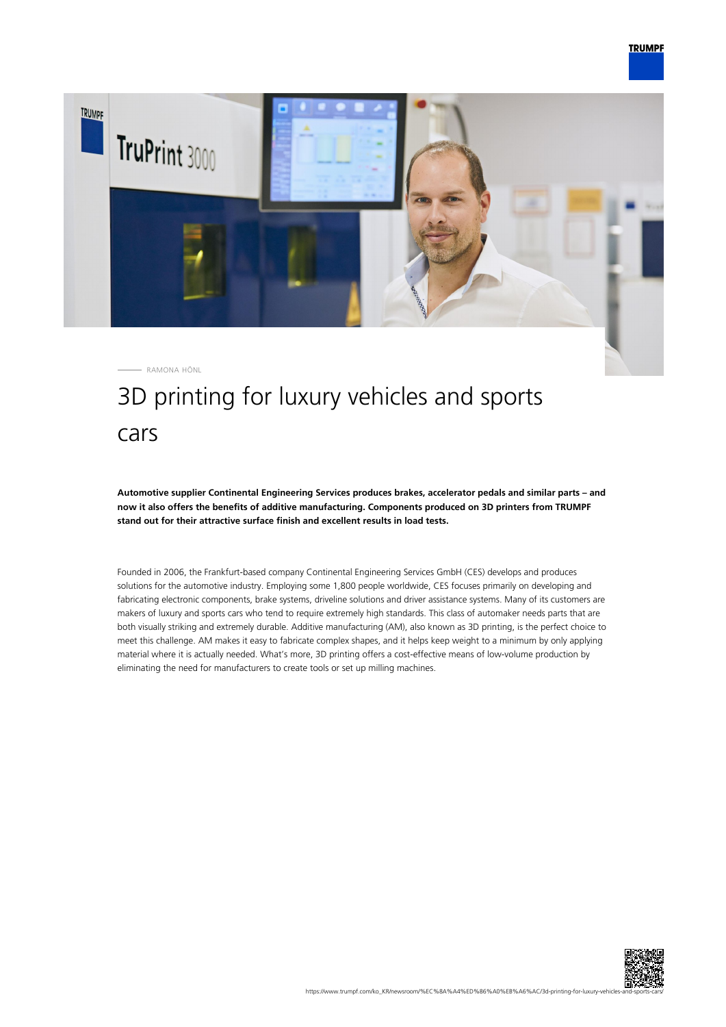

RAMONA HÖNL

# 3D printing for luxury vehicles and sports cars

**Automotive supplier Continental Engineering Services produces brakes, accelerator pedals and similar parts – and now it also offers the benefits of additive manufacturing. Components produced on 3D printers from TRUMPF stand out for their attractive surface finish and excellent results in load tests.**

Founded in 2006, the Frankfurt-based company Continental Engineering Services GmbH (CES) develops and produces solutions for the automotive industry. Employing some 1,800 people worldwide, CES focuses primarily on developing and fabricating electronic components, brake systems, driveline solutions and driver assistance systems. Many of its customers are makers of luxury and sports cars who tend to require extremely high standards. This class of automaker needs parts that are both visually striking and extremely durable. Additive manufacturing (AM), also known as 3D printing, is the perfect choice to meet this challenge. AM makes it easy to fabricate complex shapes, and it helps keep weight to a minimum by only applying material where it is actually needed. What's more, 3D printing offers a cost-effective means of low-volume production by eliminating the need for manufacturers to create tools or set up milling machines.

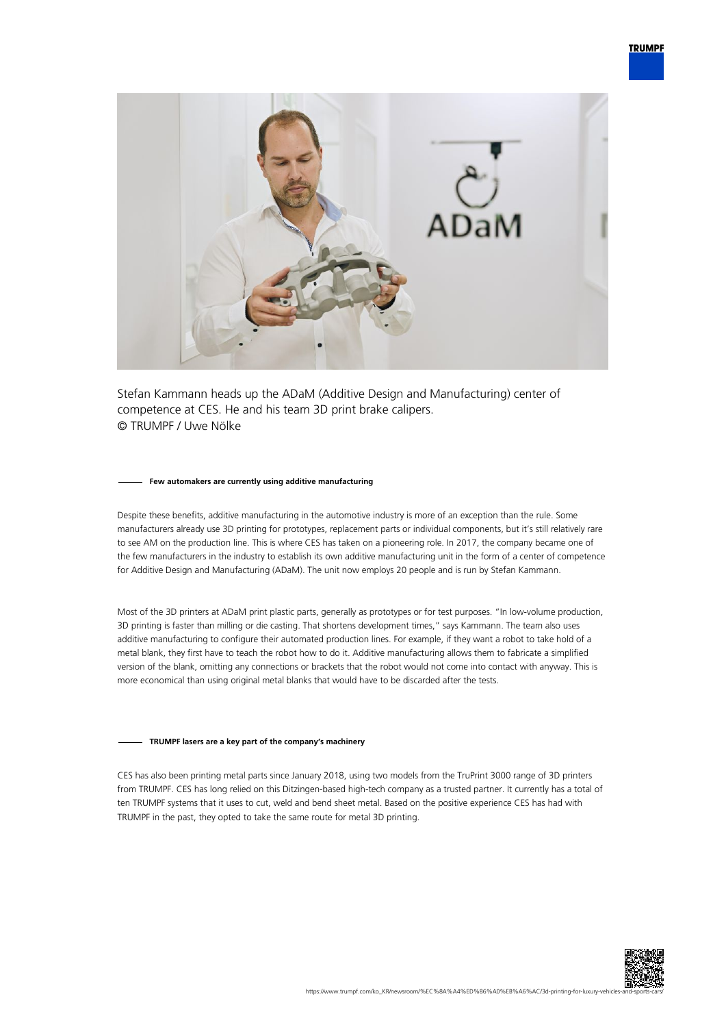

Stefan Kammann heads up the ADaM (Additive Design and Manufacturing) center of competence at CES. He and his team 3D print brake calipers. © TRUMPF / Uwe Nölke

#### **Few automakers are currently using additive manufacturing**

Despite these benefits, additive manufacturing in the automotive industry is more of an exception than the rule. Some manufacturers already use 3D printing for prototypes, replacement parts or individual components, but it's still relatively rare to see AM on the production line. This is where CES has taken on a pioneering role. In 2017, the company became one of the few manufacturers in the industry to establish its own additive manufacturing unit in the form of a center of competence for Additive Design and Manufacturing (ADaM). The unit now employs 20 people and is run by Stefan Kammann.

Most of the 3D printers at ADaM print plastic parts, generally as prototypes or for test purposes. "In low-volume production, 3D printing is faster than milling or die casting. That shortens development times," says Kammann. The team also uses additive manufacturing to configure their automated production lines. For example, if they want a robot to take hold of a metal blank, they first have to teach the robot how to do it. Additive manufacturing allows them to fabricate a simplified version of the blank, omitting any connections or brackets that the robot would not come into contact with anyway. This is more economical than using original metal blanks that would have to be discarded after the tests.

## **TRUMPF lasers are a key part of the company's machinery**

CES has also been printing metal parts since January 2018, using two models from the TruPrint 3000 range of 3D printers from TRUMPF. CES has long relied on this Ditzingen-based high-tech company as a trusted partner. It currently has a total of ten TRUMPF systems that it uses to cut, weld and bend sheet metal. Based on the positive experience CES has had with TRUMPF in the past, they opted to take the same route for metal 3D printing.

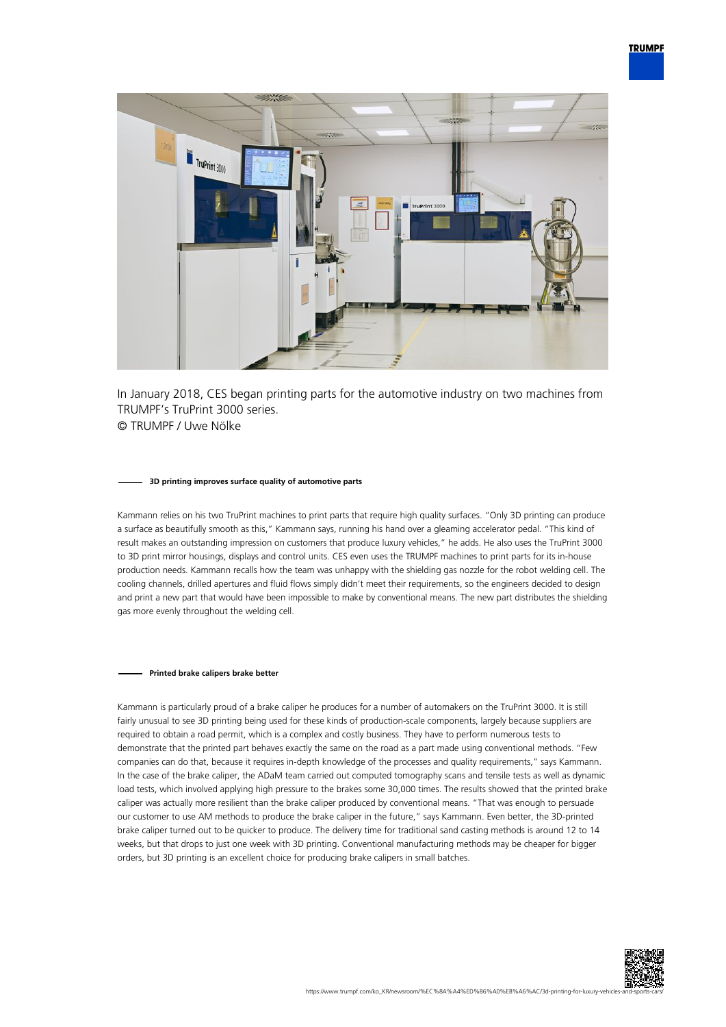

In January 2018, CES began printing parts for the automotive industry on two machines from TRUMPF's TruPrint 3000 series. © TRUMPF / Uwe Nölke

#### **3D printing improves surface quality of automotive parts**

Kammann relies on his two TruPrint machines to print parts that require high quality surfaces. "Only 3D printing can produce a surface as beautifully smooth as this," Kammann says, running his hand over a gleaming accelerator pedal. "This kind of result makes an outstanding impression on customers that produce luxury vehicles," he adds. He also uses the TruPrint 3000 to 3D print mirror housings, displays and control units. CES even uses the TRUMPF machines to print parts for its in-house production needs. Kammann recalls how the team was unhappy with the shielding gas nozzle for the robot welding cell. The cooling channels, drilled apertures and fluid flows simply didn't meet their requirements, so the engineers decided to design and print a new part that would have been impossible to make by conventional means. The new part distributes the shielding gas more evenly throughout the welding cell.

### **Printed brake calipers brake better**

Kammann is particularly proud of a brake caliper he produces for a number of automakers on the TruPrint 3000. It is still fairly unusual to see 3D printing being used for these kinds of production-scale components, largely because suppliers are required to obtain a road permit, which is a complex and costly business. They have to perform numerous tests to demonstrate that the printed part behaves exactly the same on the road as a part made using conventional methods. "Few companies can do that, because it requires in-depth knowledge of the processes and quality requirements," says Kammann. In the case of the brake caliper, the ADaM team carried out computed tomography scans and tensile tests as well as dynamic load tests, which involved applying high pressure to the brakes some 30,000 times. The results showed that the printed brake caliper was actually more resilient than the brake caliper produced by conventional means. "That was enough to persuade our customer to use AM methods to produce the brake caliper in the future," says Kammann. Even better, the 3D-printed brake caliper turned out to be quicker to produce. The delivery time for traditional sand casting methods is around 12 to 14 weeks, but that drops to just one week with 3D printing. Conventional manufacturing methods may be cheaper for bigger orders, but 3D printing is an excellent choice for producing brake calipers in small batches.